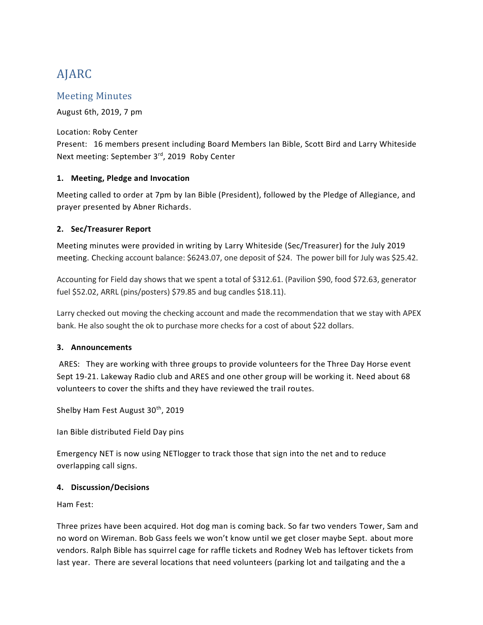# AJARC

# Meeting Minutes

August 6th, 2019, 7 pm

Location: Roby Center Present: 16 members present including Board Members Ian Bible, Scott Bird and Larry Whiteside Next meeting: September 3<sup>rd</sup>, 2019 Roby Center

## **1. Meeting, Pledge and Invocation**

Meeting called to order at 7pm by Ian Bible (President), followed by the Pledge of Allegiance, and prayer presented by Abner Richards.

## **2. Sec/Treasurer Report**

Meeting minutes were provided in writing by Larry Whiteside (Sec/Treasurer) for the July 2019 meeting. Checking account balance: \$6243.07, one deposit of \$24. The power bill for July was \$25.42.

Accounting for Field day shows that we spent a total of \$312.61. (Pavilion \$90, food \$72.63, generator fuel \$52.02, ARRL (pins/posters) \$79.85 and bug candles \$18.11).

Larry checked out moving the checking account and made the recommendation that we stay with APEX bank. He also sought the ok to purchase more checks for a cost of about \$22 dollars.

#### **3. Announcements**

ARES: They are working with three groups to provide volunteers for the Three Day Horse event Sept 19-21. Lakeway Radio club and ARES and one other group will be working it. Need about 68 volunteers to cover the shifts and they have reviewed the trail routes.

Shelby Ham Fest August 30<sup>th</sup>, 2019

Ian Bible distributed Field Day pins

Emergency NET is now using NETlogger to track those that sign into the net and to reduce overlapping call signs.

#### **4. Discussion/Decisions**

Ham Fest:

Three prizes have been acquired. Hot dog man is coming back. So far two venders Tower, Sam and no word on Wireman. Bob Gass feels we won't know until we get closer maybe Sept. about more vendors. Ralph Bible has squirrel cage for raffle tickets and Rodney Web has leftover tickets from last year. There are several locations that need volunteers (parking lot and tailgating and the a